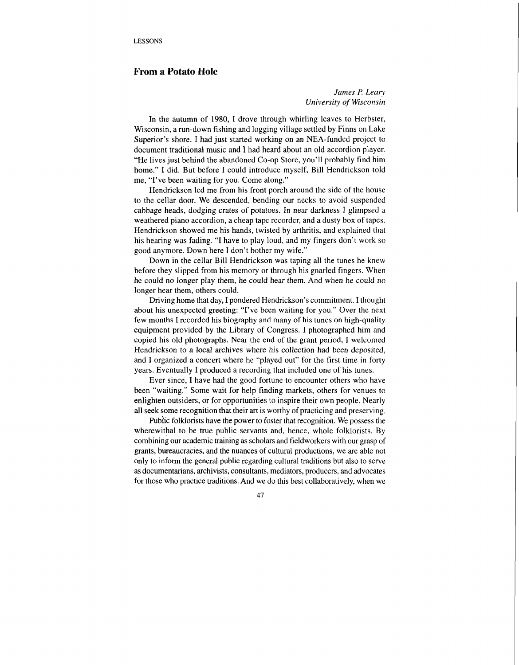## **From a Potato Hole**

*James P: Leap University* of *Wisconsin* 

In the autumn of 1980, I drove through whirling leaves to Herbster, Wisconsin, a run-down fishing and logging village settled by Finns on Lake Superior's shore. I had just started working on an NEA-funded project to document traditional music and I had heard about an old accordion player. "He lives just behind the abandoned Co-op Store, you'll probably find him home." I did. But before I could introduce myself, Bill Hendrickson told me, "I've been waiting for you. Come along."

Hendrickson led me from his front porch around the side of the house to the cellar door. We descended, bending our necks to avoid suspended cabbage heads, dodging crates of potatoes. In near darkness I glimpsed a weathered piano accordion, a cheap tape recorder, and a dusty box of tapes. Hendrickson showed me his hands, twisted by arthritis, and explained that his hearing was fading. "I have to play loud, and my fingers don't work so good anymore. Down here I don't bother my wife."

Down in the cellar Bill Hendrickson was taping all the tunes he knew before they slipped from his memory or through his gnarled fingers. When he could no longer play them, he could hear them. And when he could no longer hear them, others could.

Driving home that day, I pondered Hendrickson's commitment. I thought about his unexpected greeting: "I've been waiting for you." Over the next few months I recorded his biography and many of his tunes on high-quality equipment provided by the Library of Congress. I photographed him and copied his old photographs. Near the end of the grant period, I welcomed Hendrickson to a local archives where his collection had been deposited, and I organized a concert where he "played out" for the first time in forty years. Eventually I produced a recording that included one of his tunes.

Ever since, I have had the good fortune to encounter others who have been "waiting." Some wait for help finding markets, others for venues to enlighten outsiders, or for opportunities to inspire their own people. Nearly all seek some recognition that their art is worthy of practicing and preserving.

Public folklorists have the power to foster that recognition. We possess the wherewithal to be true public servants and, hence, whole folklorists. By combining our academic training **as** scholars and fieldworkers with our grasp of grants, bureaucracies, and the nuances of cultural productions, we are able not only to inform the general public regarding cultural traditions but also to serve as documentarians, archivists, consultants, mediators, producers, and advocates for those who practice traditions. And we do this best collaboratively, when we